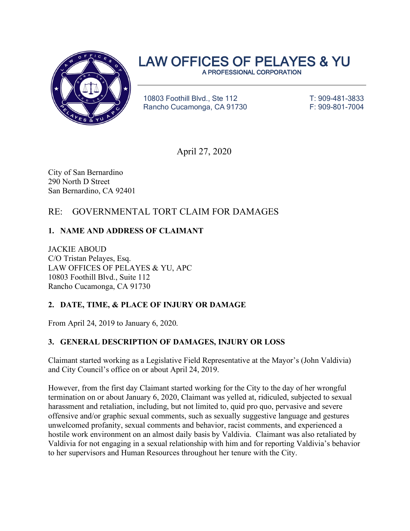

# LAW OFFICES OF PELAYES & YU

10803 Foothill Blvd., Ste 112 T: 909-481-3833 Rancho Cucamonga, CA 91730 F: 909-801-7004

April 27, 2020

City of San Bernardino 290 North D Street San Bernardino, CA 92401

# RE: GOVERNMENTAL TORT CLAIM FOR DAMAGES

# **1. NAME AND ADDRESS OF CLAIMANT**

JACKIE ABOUD C/O Tristan Pelayes, Esq. LAW OFFICES OF PELAYES & YU, APC 10803 Foothill Blvd., Suite 112 Rancho Cucamonga, CA 91730

# **2. DATE, TIME, & PLACE OF INJURY OR DAMAGE**

From April 24, 2019 to January 6, 2020.

# **3. GENERAL DESCRIPTION OF DAMAGES, INJURY OR LOSS**

Claimant started working as a Legislative Field Representative at the Mayor's (John Valdivia) and City Council's office on or about April 24, 2019.

However, from the first day Claimant started working for the City to the day of her wrongful termination on or about January 6, 2020, Claimant was yelled at, ridiculed, subjected to sexual harassment and retaliation, including, but not limited to, quid pro quo, pervasive and severe offensive and/or graphic sexual comments, such as sexually suggestive language and gestures unwelcomed profanity, sexual comments and behavior, racist comments, and experienced a hostile work environment on an almost daily basis by Valdivia. Claimant was also retaliated by Valdivia for not engaging in a sexual relationship with him and for reporting Valdivia's behavior to her supervisors and Human Resources throughout her tenure with the City.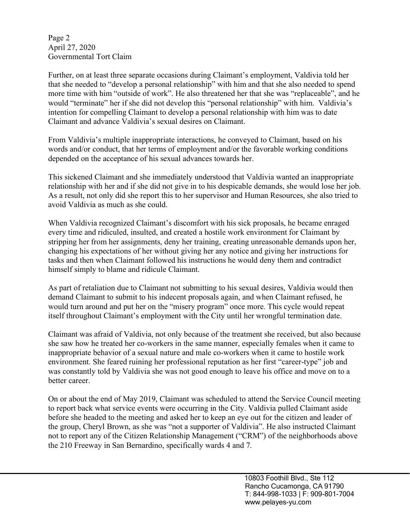Page 2 April 27, 2020 Governmental Tort Claim

Further, on at least three separate occasions during Claimant's employment, Valdivia told her that she needed to "develop a personal relationship" with him and that she also needed to spend more time with him "outside of work". He also threatened her that she was "replaceable", and he would "terminate" her if she did not develop this "personal relationship" with him. Valdivia's intention for compelling Claimant to develop a personal relationship with him was to date Claimant and advance Valdivia's sexual desires on Claimant.

From Valdivia's multiple inappropriate interactions, he conveyed to Claimant, based on his words and/or conduct, that her terms of employment and/or the favorable working conditions depended on the acceptance of his sexual advances towards her.

This sickened Claimant and she immediately understood that Valdivia wanted an inappropriate relationship with her and if she did not give in to his despicable demands, she would lose her job. As a result, not only did she report this to her supervisor and Human Resources, she also tried to avoid Valdivia as much as she could.

When Valdivia recognized Claimant's discomfort with his sick proposals, he became enraged every time and ridiculed, insulted, and created a hostile work environment for Claimant by stripping her from her assignments, deny her training, creating unreasonable demands upon her, changing his expectations of her without giving her any notice and giving her instructions for tasks and then when Claimant followed his instructions he would deny them and contradict himself simply to blame and ridicule Claimant.

As part of retaliation due to Claimant not submitting to his sexual desires, Valdivia would then demand Claimant to submit to his indecent proposals again, and when Claimant refused, he would turn around and put her on the "misery program" once more. This cycle would repeat itself throughout Claimant's employment with the City until her wrongful termination date.

Claimant was afraid of Valdivia, not only because of the treatment she received, but also because she saw how he treated her co-workers in the same manner, especially females when it came to inappropriate behavior of a sexual nature and male co-workers when it came to hostile work environment. She feared ruining her professional reputation as her first "career-type" job and was constantly told by Valdivia she was not good enough to leave his office and move on to a better career.

On or about the end of May 2019, Claimant was scheduled to attend the Service Council meeting to report back what service events were occurring in the City. Valdivia pulled Claimant aside before she headed to the meeting and asked her to keep an eye out for the citizen and leader of the group, Cheryl Brown, as she was "not a supporter of Valdivia". He also instructed Claimant not to report any of the Citizen Relationship Management ("CRM") of the neighborhoods above the 210 Freeway in San Bernardino, specifically wards 4 and 7.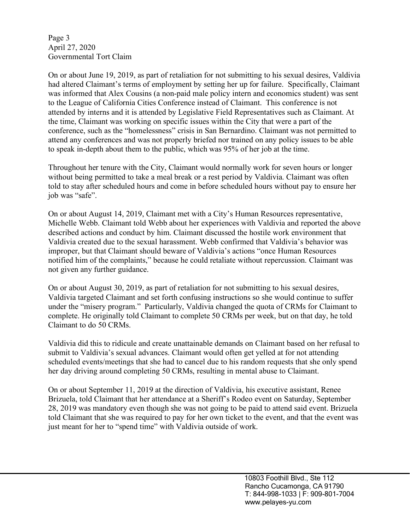Page 3 April 27, 2020 Governmental Tort Claim

On or about June 19, 2019, as part of retaliation for not submitting to his sexual desires, Valdivia had altered Claimant's terms of employment by setting her up for failure. Specifically, Claimant was informed that Alex Cousins (a non-paid male policy intern and economics student) was sent to the League of California Cities Conference instead of Claimant. This conference is not attended by interns and it is attended by Legislative Field Representatives such as Claimant. At the time, Claimant was working on specific issues within the City that were a part of the conference, such as the "homelessness" crisis in San Bernardino. Claimant was not permitted to attend any conferences and was not properly briefed nor trained on any policy issues to be able to speak in-depth about them to the public, which was 95% of her job at the time.

Throughout her tenure with the City, Claimant would normally work for seven hours or longer without being permitted to take a meal break or a rest period by Valdivia. Claimant was often told to stay after scheduled hours and come in before scheduled hours without pay to ensure her job was "safe".

On or about August 14, 2019, Claimant met with a City's Human Resources representative, Michelle Webb. Claimant told Webb about her experiences with Valdivia and reported the above described actions and conduct by him. Claimant discussed the hostile work environment that Valdivia created due to the sexual harassment. Webb confirmed that Valdivia's behavior was improper, but that Claimant should beware of Valdivia's actions "once Human Resources notified him of the complaints," because he could retaliate without repercussion. Claimant was not given any further guidance.

On or about August 30, 2019, as part of retaliation for not submitting to his sexual desires, Valdivia targeted Claimant and set forth confusing instructions so she would continue to suffer under the "misery program." Particularly, Valdivia changed the quota of CRMs for Claimant to complete. He originally told Claimant to complete 50 CRMs per week, but on that day, he told Claimant to do 50 CRMs.

Valdivia did this to ridicule and create unattainable demands on Claimant based on her refusal to submit to Valdivia's sexual advances. Claimant would often get yelled at for not attending scheduled events/meetings that she had to cancel due to his random requests that she only spend her day driving around completing 50 CRMs, resulting in mental abuse to Claimant.

On or about September 11, 2019 at the direction of Valdivia, his executive assistant, Renee Brizuela, told Claimant that her attendance at a Sheriff's Rodeo event on Saturday, September 28, 2019 was mandatory even though she was not going to be paid to attend said event. Brizuela told Claimant that she was required to pay for her own ticket to the event, and that the event was just meant for her to "spend time" with Valdivia outside of work.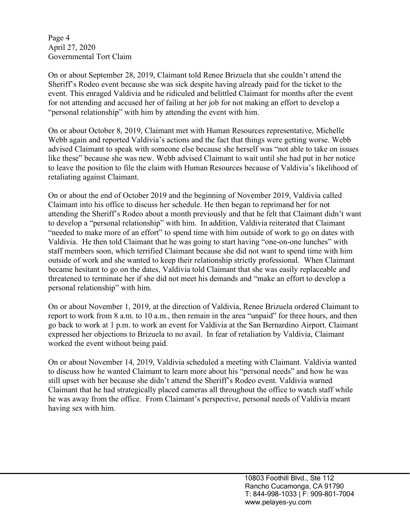Page 4 April 27, 2020 Governmental Tort Claim

On or about September 28, 2019, Claimant told Renee Brizuela that she couldn't attend the Sheriff's Rodeo event because she was sick despite having already paid for the ticket to the event. This enraged Valdivia and he ridiculed and belittled Claimant for months after the event for not attending and accused her of failing at her job for not making an effort to develop a "personal relationship" with him by attending the event with him.

On or about October 8, 2019, Claimant met with Human Resources representative, Michelle Webb again and reported Valdivia's actions and the fact that things were getting worse. Webb advised Claimant to speak with someone else because she herself was "not able to take on issues like these" because she was new. Webb advised Claimant to wait until she had put in her notice to leave the position to file the claim with Human Resources because of Valdivia's likelihood of retaliating against Claimant.

On or about the end of October 2019 and the beginning of November 2019, Valdivia called Claimant into his office to discuss her schedule. He then began to reprimand her for not attending the Sheriff's Rodeo about a month previously and that he felt that Claimant didn't want to develop a "personal relationship" with him. In addition, Valdivia reiterated that Claimant "needed to make more of an effort" to spend time with him outside of work to go on dates with Valdivia. He then told Claimant that he was going to start having "one-on-one lunches" with staff members soon, which terrified Claimant because she did not want to spend time with him outside of work and she wanted to keep their relationship strictly professional. When Claimant became hesitant to go on the dates, Valdivia told Claimant that she was easily replaceable and threatened to terminate her if she did not meet his demands and "make an effort to develop a personal relationship" with him.

On or about November 1, 2019, at the direction of Valdivia, Renee Brizuela ordered Claimant to report to work from 8 a.m. to 10 a.m., then remain in the area "unpaid" for three hours, and then go back to work at 1 p.m. to work an event for Valdivia at the San Bernardino Airport. Claimant expressed her objections to Brizuela to no avail. In fear of retaliation by Valdivia, Claimant worked the event without being paid.

On or about November 14, 2019, Valdivia scheduled a meeting with Claimant. Valdivia wanted to discuss how he wanted Claimant to learn more about his "personal needs" and how he was still upset with her because she didn't attend the Sheriff's Rodeo event. Valdivia warned Claimant that he had strategically placed cameras all throughout the office to watch staff while he was away from the office. From Claimant's perspective, personal needs of Valdivia meant having sex with him.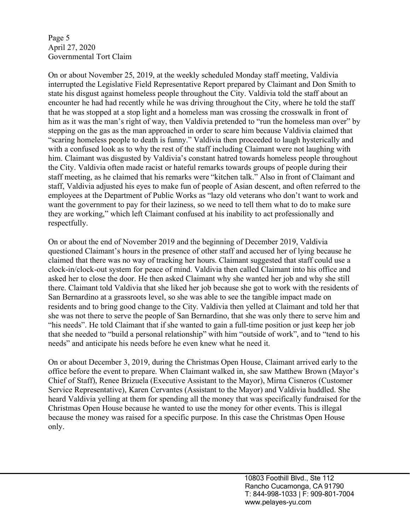Page 5 April 27, 2020 Governmental Tort Claim

On or about November 25, 2019, at the weekly scheduled Monday staff meeting, Valdivia interrupted the Legislative Field Representative Report prepared by Claimant and Don Smith to state his disgust against homeless people throughout the City. Valdivia told the staff about an encounter he had had recently while he was driving throughout the City, where he told the staff that he was stopped at a stop light and a homeless man was crossing the crosswalk in front of him as it was the man's right of way, then Valdivia pretended to "run the homeless man over" by stepping on the gas as the man approached in order to scare him because Valdivia claimed that "scaring homeless people to death is funny." Valdivia then proceeded to laugh hysterically and with a confused look as to why the rest of the staff including Claimant were not laughing with him. Claimant was disgusted by Valdivia's constant hatred towards homeless people throughout the City. Valdivia often made racist or hateful remarks towards groups of people during their staff meeting, as he claimed that his remarks were "kitchen talk." Also in front of Claimant and staff, Valdivia adjusted his eyes to make fun of people of Asian descent, and often referred to the employees at the Department of Public Works as "lazy old veterans who don't want to work and want the government to pay for their laziness, so we need to tell them what to do to make sure they are working," which left Claimant confused at his inability to act professionally and respectfully.

On or about the end of November 2019 and the beginning of December 2019, Valdivia questioned Claimant's hours in the presence of other staff and accused her of lying because he claimed that there was no way of tracking her hours. Claimant suggested that staff could use a clock-in/clock-out system for peace of mind. Valdivia then called Claimant into his office and asked her to close the door. He then asked Claimant why she wanted her job and why she still there. Claimant told Valdivia that she liked her job because she got to work with the residents of San Bernardino at a grassroots level, so she was able to see the tangible impact made on residents and to bring good change to the City. Valdivia then yelled at Claimant and told her that she was not there to serve the people of San Bernardino, that she was only there to serve him and "his needs". He told Claimant that if she wanted to gain a full-time position or just keep her job that she needed to "build a personal relationship" with him "outside of work", and to "tend to his needs" and anticipate his needs before he even knew what he need it.

On or about December 3, 2019, during the Christmas Open House, Claimant arrived early to the office before the event to prepare. When Claimant walked in, she saw Matthew Brown (Mayor's Chief of Staff), Renee Brizuela (Executive Assistant to the Mayor), Mirna Cisneros (Customer Service Representative), Karen Cervantes (Assistant to the Mayor) and Valdivia huddled. She heard Valdivia yelling at them for spending all the money that was specifically fundraised for the Christmas Open House because he wanted to use the money for other events. This is illegal because the money was raised for a specific purpose. In this case the Christmas Open House only.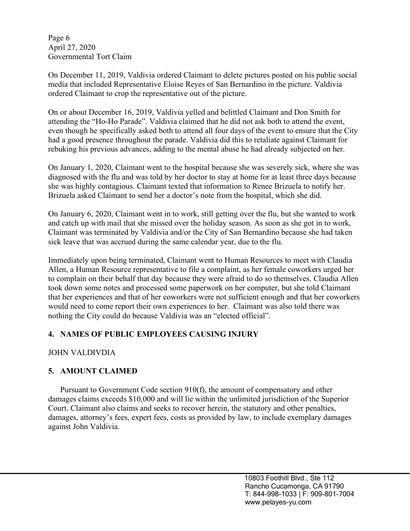Page 6 April 27, 2020 Governmental Tort Claim

On December 11, 2019, Valdivia ordered Claimant to delete pictures posted on his public social media that included Representative Eloise Reyes of San Bernardino in the picture. Valdivia ordered Claimant to crop the representative out of the picture.

On or about December 16, 2019, Valdivia yelled and belittled Claimant and Don Smith for attending the "Ho-Ho Parade". Valdivia claimed that he did not ask both to attend the event, even though he specifically asked both to attend all four days of the event to ensure that the City had a good presence throughout the parade. Valdivia did this to retaliate against Claimant for rebuking his previous advances, adding to the mental abuse he had already subjected on her.

On January 1, 2020, Claimant went to the hospital because she was severely sick, where she was diagnosed with the flu and was told by her doctor to stay at home for at least three days because she was highly contagious. Claimant texted that information to Renee Brizuela to notify her. Brizuela asked Claimant to send her a doctor's note from the hospital, which she did.

On January 6, 2020, Claimant went in to work, still getting over the flu, but she wanted to work and catch up with mail that she missed over the holiday season. As soon as she got in to work, Claimant was terminated by Valdivia and/or the City of San Bernardino because she had taken sick leave that was accrued during the same calendar year, due to the flu.

Immediately upon being terminated, Claimant went to Human Resources to meet with Claudia Allen, a Human Resource representative to file a complaint, as her female coworkers urged her to complain on their behalf that day because they were afraid to do so themselves. Claudia Allen took down some notes and processed some paperwork on her computer, but she told Claimant that her experiences and that of her coworkers were not sufficient enough and that her coworkers would need to come report their own experiences to her. Claimant was also told there was nothing the City could do because Valdivia was an "elected official".

#### **4. NAMES OF PUBLIC EMPLOYEES CAUSING INJURY**

#### JOHN VALDIVDIA

# **5. AMOUNT CLAIMED**

Pursuant to Government Code section 910(f), the amount of compensatory and other damages claims exceeds \$10,000 and will lie within the unlimited jurisdiction of the Superior Court. Claimant also claims and seeks to recover herein, the statutory and other penalties, damages, attorney's fees, expert fees, costs as provided by law, to include exemplary damages against John Valdivia.